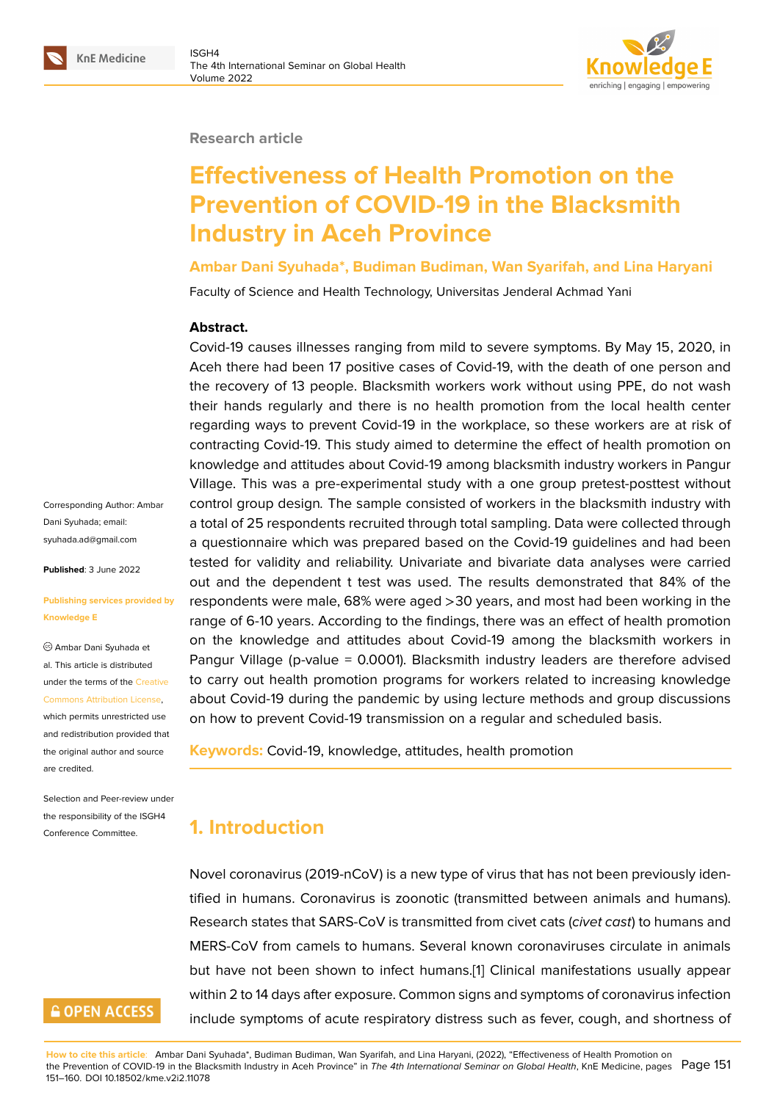#### **Research article**

# **Effectiveness of Health Promotion on the Prevention of COVID-19 in the Blacksmith Industry in Aceh Province**

**Ambar Dani Syuhada\*, Budiman Budiman, Wan Syarifah, and Lina Haryani**

Faculty of Science and Health Technology, Universitas Jenderal Achmad Yani

#### **Abstract.**

Covid-19 causes illnesses ranging from mild to severe symptoms. By May 15, 2020, in Aceh there had been 17 positive cases of Covid-19, with the death of one person and the recovery of 13 people. Blacksmith workers work without using PPE, do not wash their hands regularly and there is no health promotion from the local health center regarding ways to prevent Covid-19 in the workplace, so these workers are at risk of contracting Covid-19. This study aimed to determine the effect of health promotion on knowledge and attitudes about Covid-19 among blacksmith industry workers in Pangur Village. This was a pre-experimental study with a one group pretest-posttest without control group design*.* The sample consisted of workers in the blacksmith industry with a total of 25 respondents recruited through total sampling. Data were collected through a questionnaire which was prepared based on the Covid-19 guidelines and had been tested for validity and reliability. Univariate and bivariate data analyses were carried out and the dependent t test was used. The results demonstrated that 84% of the respondents were male, 68% were aged >30 years, and most had been working in the range of 6-10 years. According to the findings, there was an effect of health promotion on the knowledge and attitudes about Covid-19 among the blacksmith workers in Pangur Village (p-value = 0.0001). Blacksmith industry leaders are therefore advised to carry out health promotion programs for workers related to increasing knowledge about Covid-19 during the pandemic by using lecture methods and group discussions on how to prevent Covid-19 transmission on a regular and scheduled basis.

**Keywords:** Covid-19, knowledge, attitudes, health promotion

# **1. Introduction**

Novel coronavirus (2019-nCoV) is a new type of virus that has not been previously identified in humans. Coronavirus is zoonotic (transmitted between animals and humans). Research states that SARS-CoV is transmitted from civet cats (*civet cast*) to humans and MERS-CoV from camels to humans. Several known coronaviruses circulate in animals but have not been shown to infect humans.[1] Clinical manifestations usually appear within 2 to 14 days after exposure. Common signs and symptoms of coronavirus infection include symptoms of acute respiratory distress such as fever, cough, and shortness of

Corresponding Author: Ambar Dani Syuhada; email: syuhada.ad@gmail.com

**Published**: 3 June 2022

#### **[Publishing services pro](mailto:syuhada.ad@gmail.com)vided by Knowledge E**

Ambar Dani Syuhada et al. This article is distributed under the terms of the Creative Commons Attribution License,

which permits unrestricted use and redistribution provided that the original author and [source](https://creativecommons.org/licenses/by/4.0/) [are credited.](https://creativecommons.org/licenses/by/4.0/)

Selection and Peer-review under the responsibility of the ISGH4 Conference Committee.

# **GOPEN ACCESS**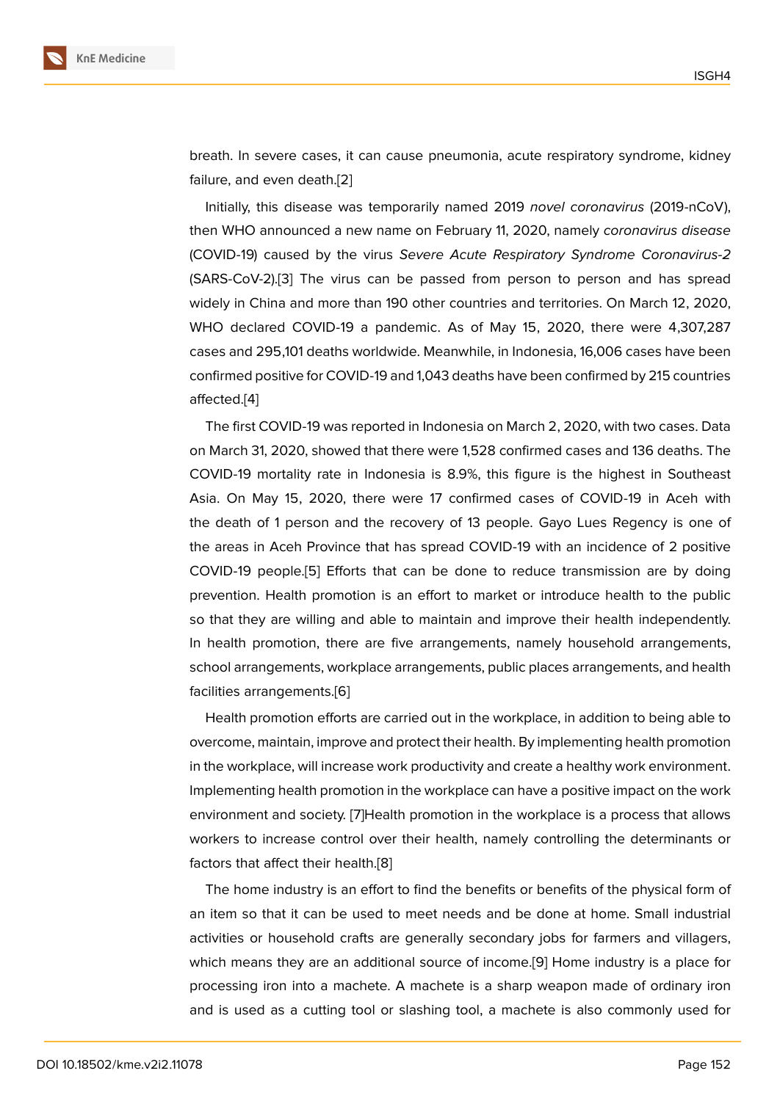breath. In severe cases, it can cause pneumonia, acute respiratory syndrome, kidney failure, and even death.[2]

Initially, this disease was temporarily named 2019 *novel coronavirus* (2019-nCoV), then WHO announced a new name on February 11, 2020, namely *coronavirus disease* (COVID-19) caused by [the](#page-8-0) virus *Severe Acute Respiratory Syndrome Coronavirus-2* (SARS-CoV-2).[3] The virus can be passed from person to person and has spread widely in China and more than 190 other countries and territories. On March 12, 2020, WHO declared COVID-19 a pandemic. As of May 15, 2020, there were 4,307,287 cases and 295[,1](#page-8-1)01 deaths worldwide. Meanwhile, in Indonesia, 16,006 cases have been confirmed positive for COVID-19 and 1,043 deaths have been confirmed by 215 countries affected.[4]

The first COVID-19 was reported in Indonesia on March 2, 2020, with two cases. Data on March 31, 2020, showed that there were 1,528 confirmed cases and 136 deaths. The COVID-1[9](#page-9-0) mortality rate in Indonesia is 8.9%, this figure is the highest in Southeast Asia. On May 15, 2020, there were 17 confirmed cases of COVID-19 in Aceh with the death of 1 person and the recovery of 13 people. Gayo Lues Regency is one of the areas in Aceh Province that has spread COVID-19 with an incidence of 2 positive COVID-19 people.[5] Efforts that can be done to reduce transmission are by doing prevention. Health promotion is an effort to market or introduce health to the public so that they are willing and able to maintain and improve their health independently. In health promotio[n,](#page-9-1) there are five arrangements, namely household arrangements, school arrangements, workplace arrangements, public places arrangements, and health facilities arrangements.[6]

Health promotion efforts are carried out in the workplace, in addition to being able to overcome, maintain, improve and protect their health. By implementing health promotion in the workplace, will in[cre](#page-9-2)ase work productivity and create a healthy work environment. Implementing health promotion in the workplace can have a positive impact on the work environment and society. [7]Health promotion in the workplace is a process that allows workers to increase control over their health, namely controlling the determinants or factors that affect their health.[8]

The home industry is a[n e](#page-9-3)ffort to find the benefits or benefits of the physical form of an item so that it can be used to meet needs and be done at home. Small industrial activities or household crafts [ar](#page-9-4)e generally secondary jobs for farmers and villagers, which means they are an additional source of income.[9] Home industry is a place for processing iron into a machete. A machete is a sharp weapon made of ordinary iron and is used as a cutting tool or slashing tool, a machete is also commonly used for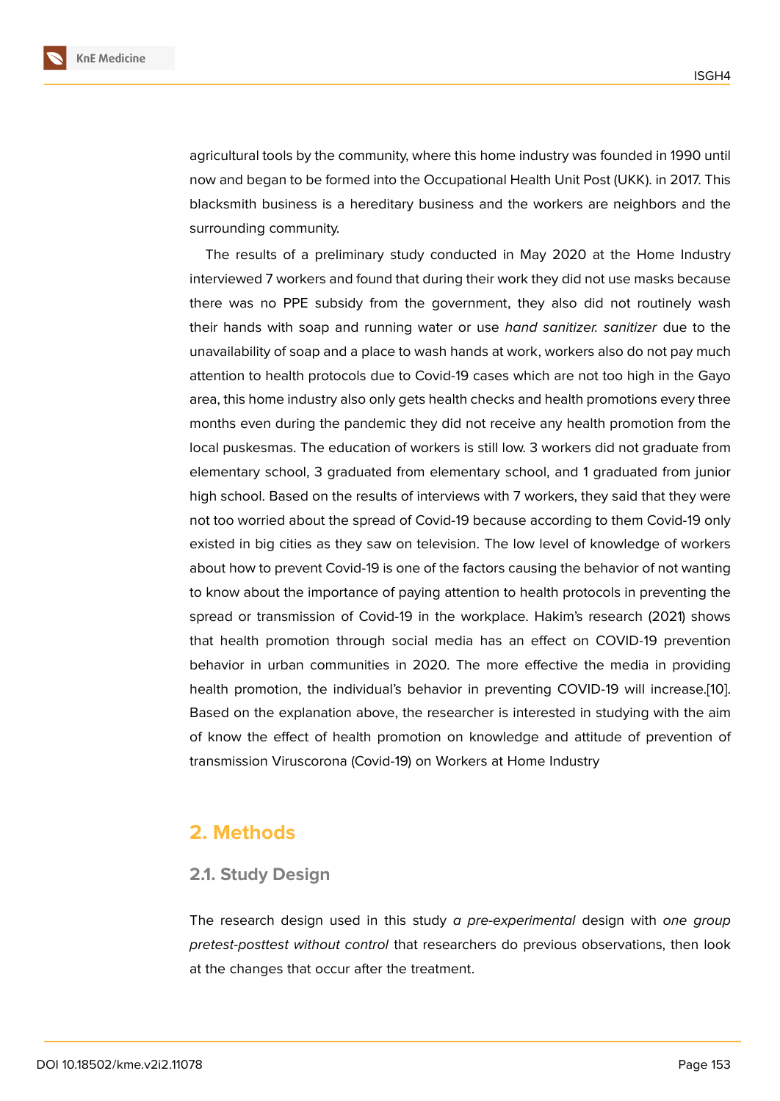agricultural tools by the community, where this home industry was founded in 1990 until now and began to be formed into the Occupational Health Unit Post (UKK). in 2017. This blacksmith business is a hereditary business and the workers are neighbors and the surrounding community.

The results of a preliminary study conducted in May 2020 at the Home Industry interviewed 7 workers and found that during their work they did not use masks because there was no PPE subsidy from the government, they also did not routinely wash their hands with soap and running water or use *hand sanitizer. sanitizer* due to the unavailability of soap and a place to wash hands at work, workers also do not pay much attention to health protocols due to Covid-19 cases which are not too high in the Gayo area, this home industry also only gets health checks and health promotions every three months even during the pandemic they did not receive any health promotion from the local puskesmas. The education of workers is still low. 3 workers did not graduate from elementary school, 3 graduated from elementary school, and 1 graduated from junior high school. Based on the results of interviews with 7 workers, they said that they were not too worried about the spread of Covid-19 because according to them Covid-19 only existed in big cities as they saw on television. The low level of knowledge of workers about how to prevent Covid-19 is one of the factors causing the behavior of not wanting to know about the importance of paying attention to health protocols in preventing the spread or transmission of Covid-19 in the workplace. Hakim's research (2021) shows that health promotion through social media has an effect on COVID-19 prevention behavior in urban communities in 2020. The more effective the media in providing health promotion, the individual's behavior in preventing COVID-19 will increase.[10]. Based on the explanation above, the researcher is interested in studying with the aim of know the effect of health promotion on knowledge and attitude of prevention of transmission Viruscorona (Covid-19) on Workers at Home Industry

# **2. Methods**

#### **2.1. Study Design**

The research design used in this study *a pre-experimental* design with *one group pretest-posttest without control* that researchers do previous observations, then look at the changes that occur after the treatment.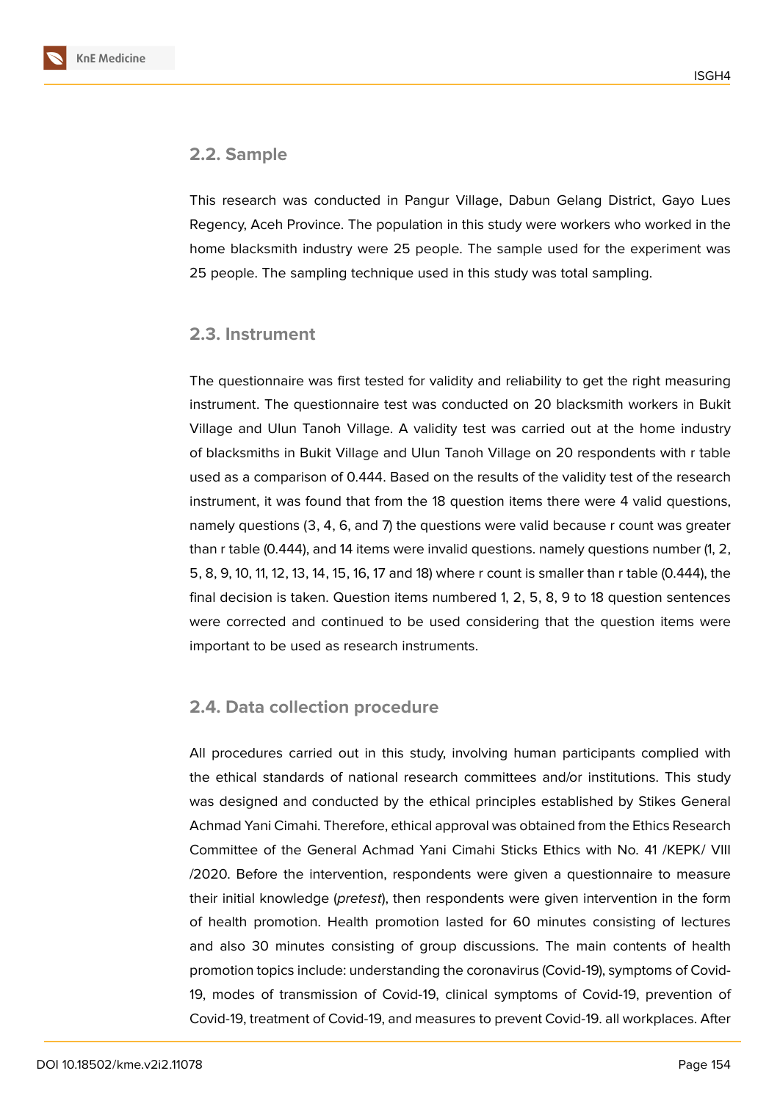

This research was conducted in Pangur Village, Dabun Gelang District, Gayo Lues Regency, Aceh Province. The population in this study were workers who worked in the home blacksmith industry were 25 people. The sample used for the experiment was 25 people. The sampling technique used in this study was total sampling.

#### **2.3. Instrument**

The questionnaire was first tested for validity and reliability to get the right measuring instrument. The questionnaire test was conducted on 20 blacksmith workers in Bukit Village and Ulun Tanoh Village. A validity test was carried out at the home industry of blacksmiths in Bukit Village and Ulun Tanoh Village on 20 respondents with r table used as a comparison of 0.444. Based on the results of the validity test of the research instrument, it was found that from the 18 question items there were 4 valid questions, namely questions (3, 4, 6, and 7) the questions were valid because r count was greater than r table (0.444), and 14 items were invalid questions. namely questions number (1, 2, 5, 8, 9, 10, 11, 12, 13, 14, 15, 16, 17 and 18) where r count is smaller than r table (0.444), the final decision is taken. Question items numbered 1, 2, 5, 8, 9 to 18 question sentences were corrected and continued to be used considering that the question items were important to be used as research instruments.

#### **2.4. Data collection procedure**

All procedures carried out in this study, involving human participants complied with the ethical standards of national research committees and/or institutions. This study was designed and conducted by the ethical principles established by Stikes General Achmad Yani Cimahi. Therefore, ethical approval was obtained from the Ethics Research Committee of the General Achmad Yani Cimahi Sticks Ethics with No. 41 /KEPK/ VIII /2020. Before the intervention, respondents were given a questionnaire to measure their initial knowledge (*pretest*), then respondents were given intervention in the form of health promotion. Health promotion lasted for 60 minutes consisting of lectures and also 30 minutes consisting of group discussions. The main contents of health promotion topics include: understanding the coronavirus (Covid-19), symptoms of Covid-19, modes of transmission of Covid-19, clinical symptoms of Covid-19, prevention of Covid-19, treatment of Covid-19, and measures to prevent Covid-19. all workplaces. After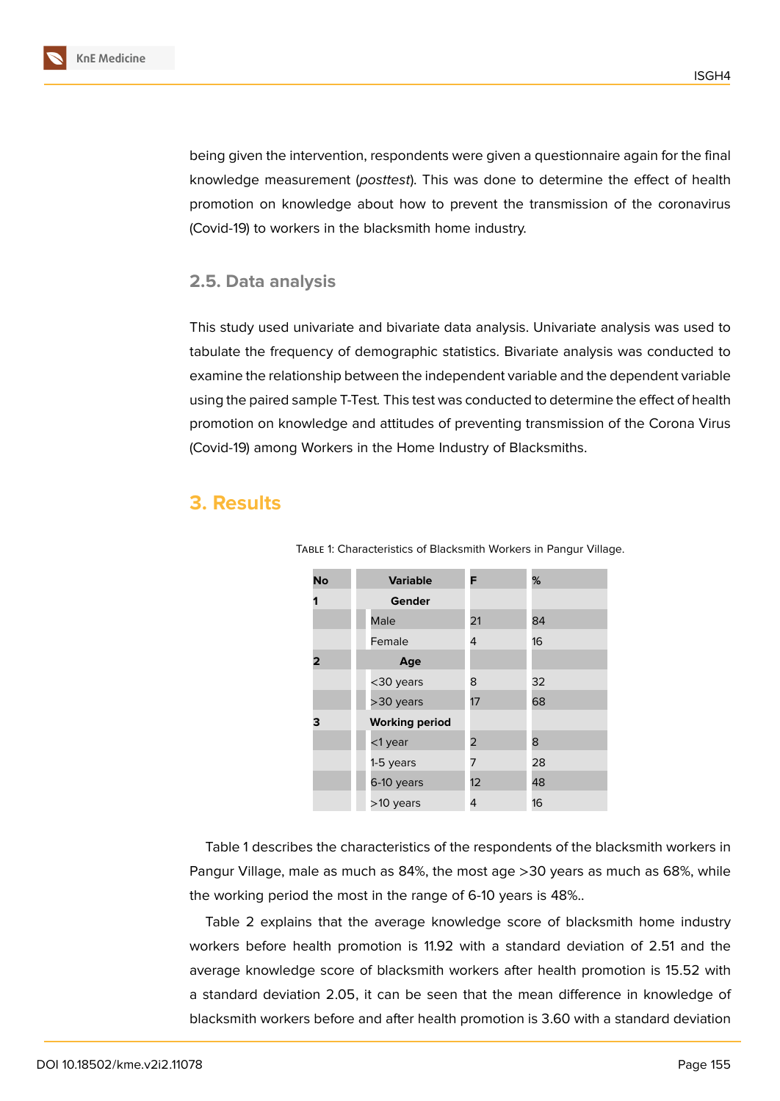being given the intervention, respondents were given a questionnaire again for the final knowledge measurement (*posttest*). This was done to determine the effect of health promotion on knowledge about how to prevent the transmission of the coronavirus (Covid-19) to workers in the blacksmith home industry.

#### **2.5. Data analysis**

This study used univariate and bivariate data analysis. Univariate analysis was used to tabulate the frequency of demographic statistics. Bivariate analysis was conducted to examine the relationship between the independent variable and the dependent variable using the paired sample T-Test*.* This test was conducted to determine the effect of health promotion on knowledge and attitudes of preventing transmission of the Corona Virus (Covid-19) among Workers in the Home Industry of Blacksmiths.

# **3. Results**

| No | <b>Variable</b>       | F  | %  |
|----|-----------------------|----|----|
| 1  | Gender                |    |    |
|    | Male                  | 21 | 84 |
|    | Female                | 4  | 16 |
| 2  | Age                   |    |    |
|    | <30 years             | 8  | 32 |
|    | >30 years             | 17 | 68 |
| з  | <b>Working period</b> |    |    |
|    | <1 year               | 2  | 8  |
|    | 1-5 years             | 7  | 28 |
|    | 6-10 years            | 12 | 48 |
|    | >10 years             | 4  | 16 |

Table 1: Characteristics of Blacksmith Workers in Pangur Village.

Table 1 describes the characteristics of the respondents of the blacksmith workers in Pangur Village, male as much as 84%, the most age >30 years as much as 68%, while the working period the most in the range of 6-10 years is 48%..

Table 2 explains that the average knowledge score of blacksmith home industry workers before health promotion is 11.92 with a standard deviation of 2.51 and the average knowledge score of blacksmith workers after health promotion is 15.52 with a standard deviation 2.05, it can be seen that the mean difference in knowledge of blacksmith workers before and after health promotion is 3.60 with a standard deviation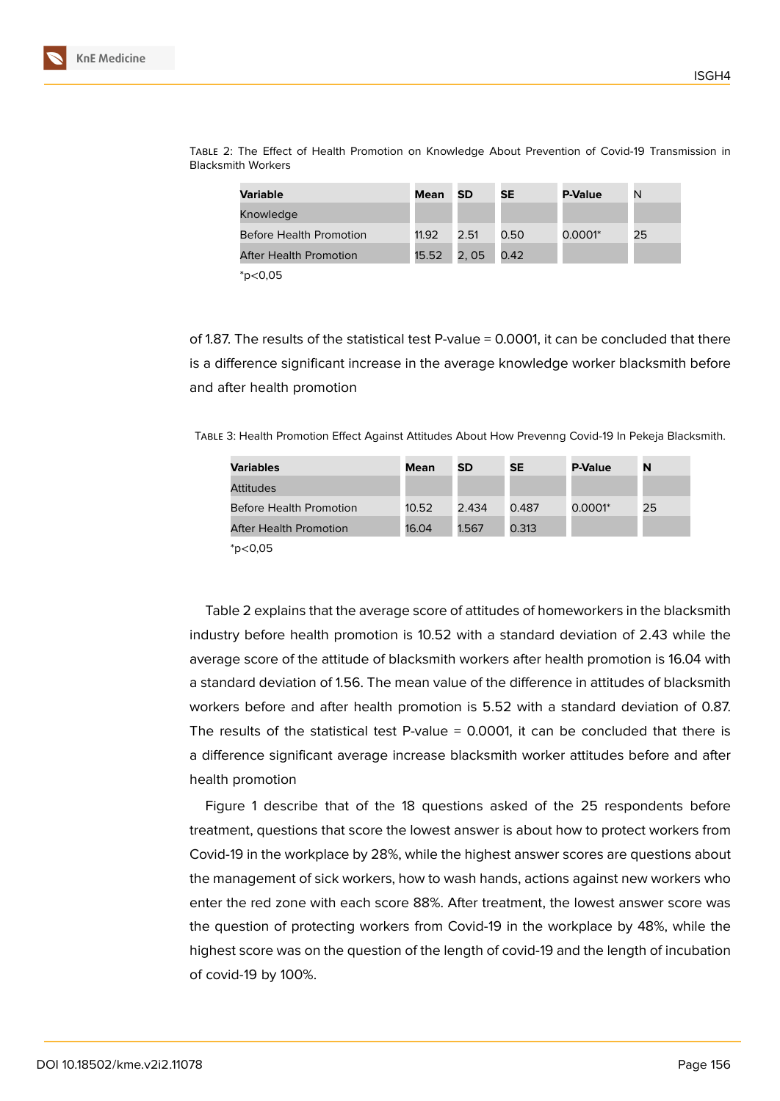| Variable                       | Mean  | <b>SD</b> | <b>SE</b> | <b>P-Value</b> | N  |
|--------------------------------|-------|-----------|-----------|----------------|----|
| Knowledge                      |       |           |           |                |    |
| <b>Before Health Promotion</b> | 11.92 | 2.51      | 0.50      | $0.0001*$      | 25 |
| <b>After Health Promotion</b>  | 15.52 | 2,05      | 0.42      |                |    |
| $*_{\text{D} < 0.05}$          |       |           |           |                |    |

Table 2: The Effect of Health Promotion on Knowledge About Prevention of Covid-19 Transmission in Blacksmith Workers

of 1.87. The results of the statistical test P-value = 0.0001, it can be concluded that there is a difference significant increase in the average knowledge worker blacksmith before and after health promotion

Table 3: Health Promotion Effect Against Attitudes About How Prevenng Covid-19 In Pekeja Blacksmith.

| <b>Variables</b>                        | Mean  | <b>SD</b> | <b>SE</b> | <b>P-Value</b> | N  |
|-----------------------------------------|-------|-----------|-----------|----------------|----|
| Attitudes                               |       |           |           |                |    |
| <b>Before Health Promotion</b>          | 10.52 | 2.434     | 0.487     | 0.0001*        | 25 |
| After Health Promotion                  | 16.04 | 1.567     | 0.313     |                |    |
| $\ast$ $\cdot$ $\land$ $\land$ $\vdash$ |       |           |           |                |    |

\*p<0,05

Table 2 explains that the average score of attitudes of homeworkers in the blacksmith industry before health promotion is 10.52 with a standard deviation of 2.43 while the average score of the attitude of blacksmith workers after health promotion is 16.04 with a standard deviation of 1.56. The mean value of the difference in attitudes of blacksmith workers before and after health promotion is 5.52 with a standard deviation of 0.87. The results of the statistical test P-value = 0.0001, it can be concluded that there is a difference significant average increase blacksmith worker attitudes before and after health promotion

Figure 1 describe that of the 18 questions asked of the 25 respondents before treatment, questions that score the lowest answer is about how to protect workers from Covid-19 in the workplace by 28%, while the highest answer scores are questions about the mana[ge](#page-6-0)ment of sick workers, how to wash hands, actions against new workers who enter the red zone with each score 88%. After treatment, the lowest answer score was the question of protecting workers from Covid-19 in the workplace by 48%, while the highest score was on the question of the length of covid-19 and the length of incubation of covid-19 by 100%.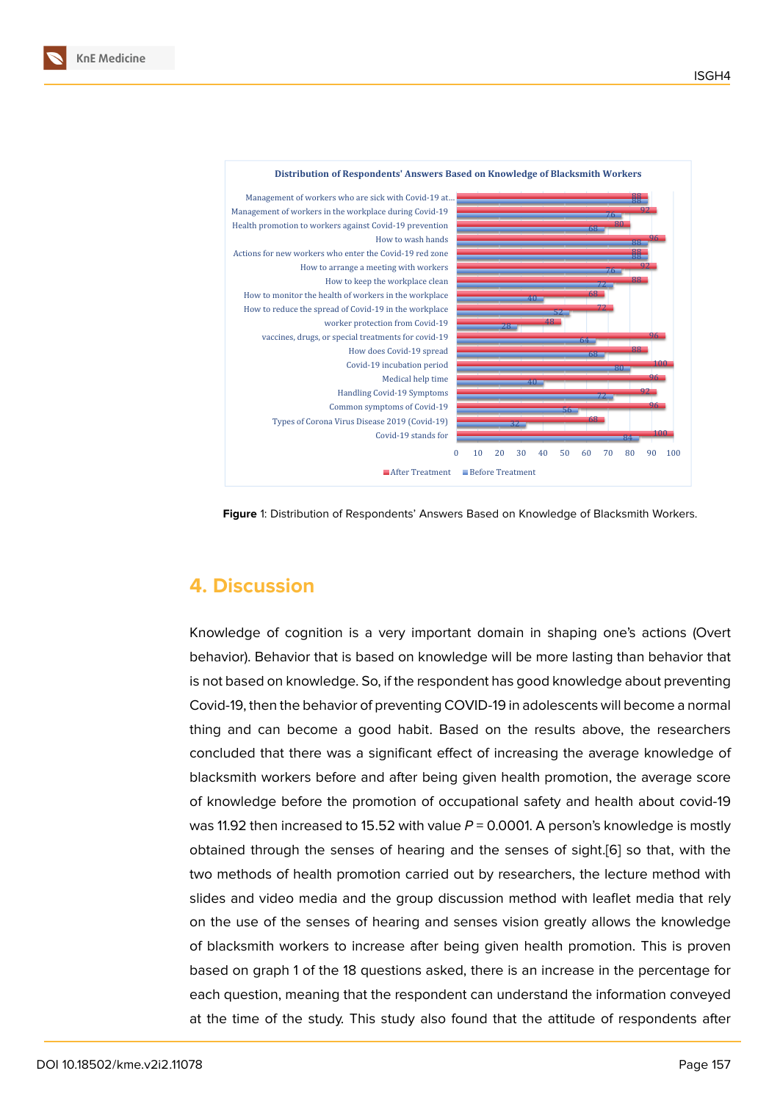

<span id="page-6-0"></span>**Figure** 1: Distribution of Respondents' Answers Based on Knowledge of Blacksmith Workers.

# **4. Discussion**

Knowledge of cognition is a very important domain in shaping one's actions (Overt behavior). Behavior that is based on knowledge will be more lasting than behavior that is not based on knowledge. So, if the respondent has good knowledge about preventing Covid-19, then the behavior of preventing COVID-19 in adolescents will become a normal thing and can become a good habit. Based on the results above, the researchers concluded that there was a significant effect of increasing the average knowledge of blacksmith workers before and after being given health promotion, the average score of knowledge before the promotion of occupational safety and health about covid-19 was 11.92 then increased to 15.52 with value  $P = 0.0001$ . A person's knowledge is mostly obtained through the senses of hearing and the senses of sight.[6] so that, with the two methods of health promotion carried out by researchers, the lecture method with slides and video media and the group discussion method with leaflet media that rely on the use of the senses of hearing and senses vision greatly all[ow](#page-9-2)s the knowledge of blacksmith workers to increase after being given health promotion. This is proven based on graph 1 of the 18 questions asked, there is an increase in the percentage for each question, meaning that the respondent can understand the information conveyed at the time of the study. This study also found that the attitude of respondents after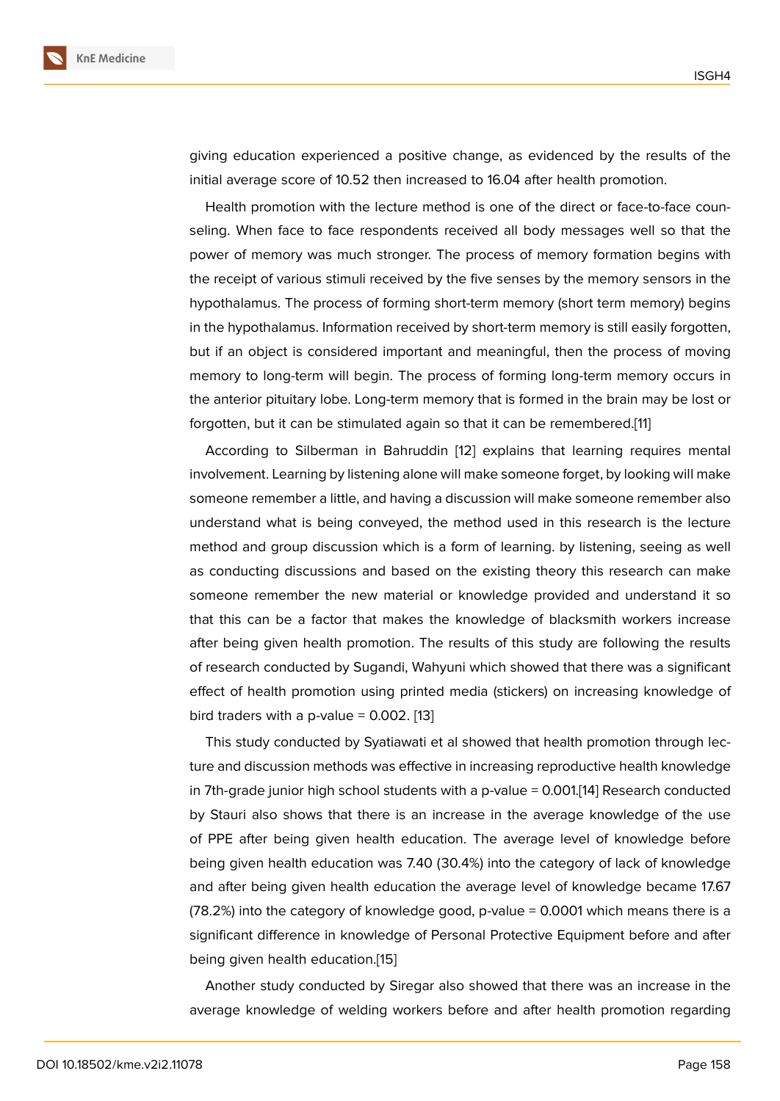giving education experienced a positive change, as evidenced by the results of the initial average score of 10.52 then increased to 16.04 after health promotion.

Health promotion with the lecture method is one of the direct or face-to-face counseling. When face to face respondents received all body messages well so that the power of memory was much stronger. The process of memory formation begins with the receipt of various stimuli received by the five senses by the memory sensors in the hypothalamus. The process of forming short-term memory (short term memory) begins in the hypothalamus. Information received by short-term memory is still easily forgotten, but if an object is considered important and meaningful, then the process of moving memory to long-term will begin. The process of forming long-term memory occurs in the anterior pituitary lobe. Long-term memory that is formed in the brain may be lost or forgotten, but it can be stimulated again so that it can be remembered.[11]

According to Silberman in Bahruddin [12] explains that learning requires mental involvement. Learning by listening alone will make someone forget, by looking will make someone remember a little, and having a discussion will make someone [re](#page-9-5)member also understand what is being conveyed, the [me](#page-9-6)thod used in this research is the lecture method and group discussion which is a form of learning. by listening, seeing as well as conducting discussions and based on the existing theory this research can make someone remember the new material or knowledge provided and understand it so that this can be a factor that makes the knowledge of blacksmith workers increase after being given health promotion. The results of this study are following the results of research conducted by Sugandi, Wahyuni which showed that there was a significant effect of health promotion using printed media (stickers) on increasing knowledge of bird traders with a p-value =  $0.002$ . [13]

This study conducted by Syatiawati et al showed that health promotion through lecture and discussion methods was effective in increasing reproductive health knowledge in 7th-grade junior high school stud[ents](#page-9-7) with a p-value = 0.001.[14] Research conducted by Stauri also shows that there is an increase in the average knowledge of the use of PPE after being given health education. The average level of knowledge before being given health education was 7.40 (30.4%) into the categ[ory](#page-9-8) of lack of knowledge and after being given health education the average level of knowledge became 17.67 (78.2%) into the category of knowledge good, p-value = 0.0001 which means there is a significant difference in knowledge of Personal Protective Equipment before and after being given health education.[15]

Another study conducted by Siregar also showed that there was an increase in the average knowledge of welding workers before and after health promotion regarding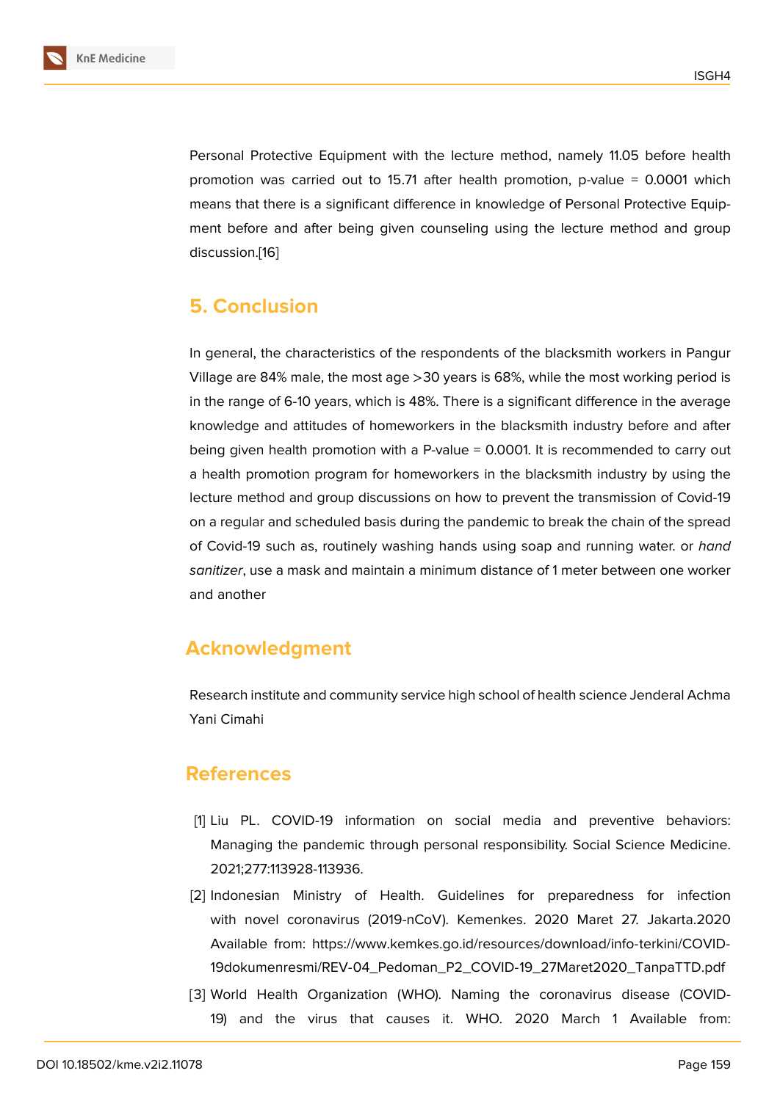Personal Protective Equipment with the lecture method, namely 11.05 before health promotion was carried out to 15.71 after health promotion, p-value = 0.0001 which means that there is a significant difference in knowledge of Personal Protective Equipment before and after being given counseling using the lecture method and group discussion.[16]

## **5. Con[clu](#page-9-9)sion**

In general, the characteristics of the respondents of the blacksmith workers in Pangur Village are 84% male, the most age >30 years is 68%, while the most working period is in the range of 6-10 years, which is 48%. There is a significant difference in the average knowledge and attitudes of homeworkers in the blacksmith industry before and after being given health promotion with a P-value = 0.0001. It is recommended to carry out a health promotion program for homeworkers in the blacksmith industry by using the lecture method and group discussions on how to prevent the transmission of Covid-19 on a regular and scheduled basis during the pandemic to break the chain of the spread of Covid-19 such as, routinely washing hands using soap and running water. or *hand sanitizer*, use a mask and maintain a minimum distance of 1 meter between one worker and another

# **Acknowledgment**

Research institute and community service high school of health science Jenderal Achma Yani Cimahi

### **References**

- [1] Liu PL. COVID-19 information on social media and preventive behaviors: Managing the pandemic through personal responsibility. Social Science Medicine. 2021;277:113928-113936.
- [2] Indonesian Ministry of Health. Guidelines for preparedness for infection with novel coronavirus (2019-nCoV). Kemenkes. 2020 Maret 27. Jakarta.2020 Available from: https://www.kemkes.go.id/resources/download/info-terkini/COVID-19dokumenresmi/REV-04\_Pedoman\_P2\_COVID-19\_27Maret2020\_TanpaTTD.pdf
- <span id="page-8-1"></span><span id="page-8-0"></span>[3] World Health Organization (WHO). Naming the coronavirus disease (COVID-[19\) and the virus that causes it. WHO. 2020 March 1 Available from:](https://www.kemkes.go.id/resources/download/info-terkini/COVID-19 dokumen resmi/REV-04_Pedoman_P2_COVID-19_ 27 Maret2020_Tanpa TTD.pdf)